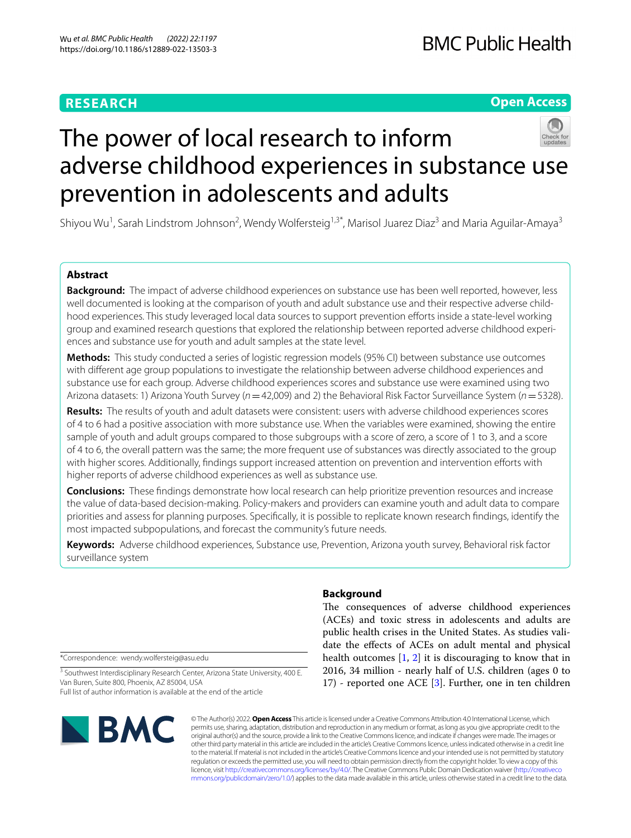# **RESEARCH**

# **Open Access**



# The power of local research to inform adverse childhood experiences in substance use prevention in adolescents and adults

Shiyou Wu<sup>1</sup>, Sarah Lindstrom Johnson<sup>2</sup>, Wendy Wolfersteig<sup>1,3\*</sup>, Marisol Juarez Diaz<sup>3</sup> and Maria Aguilar-Amaya<sup>3</sup>

# **Abstract**

**Background:** The impact of adverse childhood experiences on substance use has been well reported, however, less well documented is looking at the comparison of youth and adult substance use and their respective adverse childhood experiences. This study leveraged local data sources to support prevention efforts inside a state-level working group and examined research questions that explored the relationship between reported adverse childhood experiences and substance use for youth and adult samples at the state level.

**Methods:** This study conducted a series of logistic regression models (95% CI) between substance use outcomes with diferent age group populations to investigate the relationship between adverse childhood experiences and substance use for each group. Adverse childhood experiences scores and substance use were examined using two Arizona datasets: 1) Arizona Youth Survey (*n*=42,009) and 2) the Behavioral Risk Factor Surveillance System (*n*=5328).

**Results:** The results of youth and adult datasets were consistent: users with adverse childhood experiences scores of 4 to 6 had a positive association with more substance use. When the variables were examined, showing the entire sample of youth and adult groups compared to those subgroups with a score of zero, a score of 1 to 3, and a score of 4 to 6, the overall pattern was the same; the more frequent use of substances was directly associated to the group with higher scores. Additionally, fndings support increased attention on prevention and intervention eforts with higher reports of adverse childhood experiences as well as substance use.

**Conclusions:** These fndings demonstrate how local research can help prioritize prevention resources and increase the value of data-based decision-making. Policy-makers and providers can examine youth and adult data to compare priorities and assess for planning purposes. Specifcally, it is possible to replicate known research fndings, identify the most impacted subpopulations, and forecast the community's future needs.

**Keywords:** Adverse childhood experiences, Substance use, Prevention, Arizona youth survey, Behavioral risk factor surveillance system

\*Correspondence: wendy.wolfersteig@asu.edu

<sup>3</sup> Southwest Interdisciplinary Research Center, Arizona State University, 400 E. Van Buren, Suite 800, Phoenix, AZ 85004, USA Full list of author information is available at the end of the article

# $\blacksquare$  BMC

# **Background**

The consequences of adverse childhood experiences (ACEs) and toxic stress in adolescents and adults are public health crises in the United States. As studies validate the efects of ACEs on adult mental and physical health outcomes  $[1, 2]$  $[1, 2]$  $[1, 2]$  $[1, 2]$  it is discouraging to know that in 2016, 34 million - nearly half of U.S. children (ages 0 to 17) - reported one ACE [\[3](#page-10-2)]. Further, one in ten children

© The Author(s) 2022. **Open Access** This article is licensed under a Creative Commons Attribution 4.0 International License, which permits use, sharing, adaptation, distribution and reproduction in any medium or format, as long as you give appropriate credit to the original author(s) and the source, provide a link to the Creative Commons licence, and indicate if changes were made. The images or other third party material in this article are included in the article's Creative Commons licence, unless indicated otherwise in a credit line to the material. If material is not included in the article's Creative Commons licence and your intended use is not permitted by statutory regulation or exceeds the permitted use, you will need to obtain permission directly from the copyright holder. To view a copy of this licence, visit [http://creativecommons.org/licenses/by/4.0/.](http://creativecommons.org/licenses/by/4.0/) The Creative Commons Public Domain Dedication waiver ([http://creativeco](http://creativecommons.org/publicdomain/zero/1.0/) [mmons.org/publicdomain/zero/1.0/](http://creativecommons.org/publicdomain/zero/1.0/)) applies to the data made available in this article, unless otherwise stated in a credit line to the data.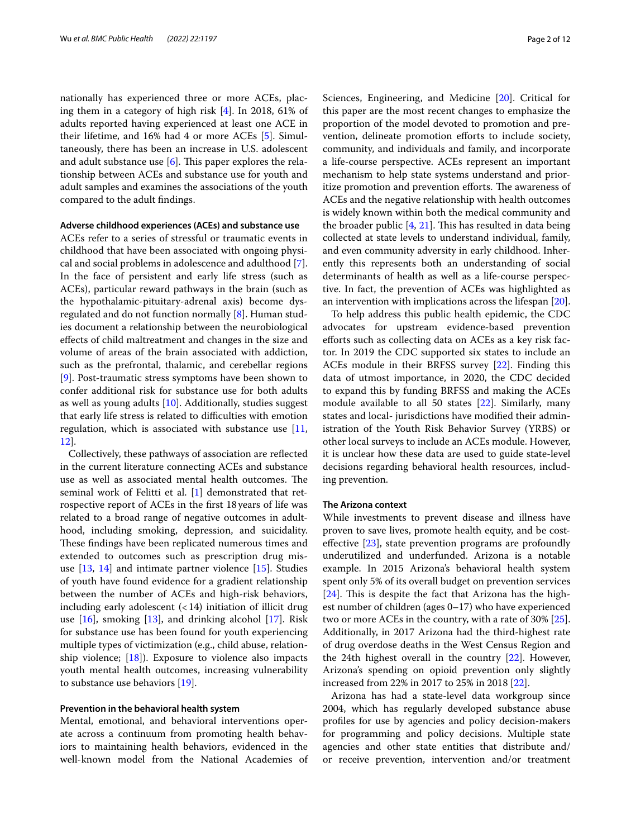nationally has experienced three or more ACEs, placing them in a category of high risk [[4\]](#page-10-3). In 2018, 61% of adults reported having experienced at least one ACE in their lifetime, and 16% had 4 or more ACEs [\[5](#page-10-4)]. Simultaneously, there has been an increase in U.S. adolescent and adult substance use  $[6]$  $[6]$ . This paper explores the relationship between ACEs and substance use for youth and adult samples and examines the associations of the youth compared to the adult fndings.

#### **Adverse childhood experiences (ACEs) and substance use**

ACEs refer to a series of stressful or traumatic events in childhood that have been associated with ongoing physical and social problems in adolescence and adulthood [\[7](#page-10-6)]. In the face of persistent and early life stress (such as ACEs), particular reward pathways in the brain (such as the hypothalamic-pituitary-adrenal axis) become dysregulated and do not function normally [\[8](#page-10-7)]. Human studies document a relationship between the neurobiological efects of child maltreatment and changes in the size and volume of areas of the brain associated with addiction, such as the prefrontal, thalamic, and cerebellar regions [[9\]](#page-11-0). Post-traumatic stress symptoms have been shown to confer additional risk for substance use for both adults as well as young adults [\[10](#page-11-1)]. Additionally, studies suggest that early life stress is related to difficulties with emotion regulation, which is associated with substance use  $[11,$  $[11,$ [12\]](#page-11-3).

Collectively, these pathways of association are refected in the current literature connecting ACEs and substance use as well as associated mental health outcomes. The seminal work of Felitti et al. [\[1](#page-10-0)] demonstrated that retrospective report of ACEs in the frst 18years of life was related to a broad range of negative outcomes in adulthood, including smoking, depression, and suicidality. These findings have been replicated numerous times and extended to outcomes such as prescription drug misuse [\[13](#page-11-4), [14](#page-11-5)] and intimate partner violence [[15\]](#page-11-6). Studies of youth have found evidence for a gradient relationship between the number of ACEs and high-risk behaviors, including early adolescent (<14) initiation of illicit drug use  $[16]$  $[16]$  $[16]$ , smoking  $[13]$  $[13]$ , and drinking alcohol  $[17]$  $[17]$ . Risk for substance use has been found for youth experiencing multiple types of victimization (e.g., child abuse, relationship violence; [[18](#page-11-9)]). Exposure to violence also impacts youth mental health outcomes, increasing vulnerability to substance use behaviors [[19\]](#page-11-10).

# **Prevention in the behavioral health system**

Mental, emotional, and behavioral interventions operate across a continuum from promoting health behaviors to maintaining health behaviors, evidenced in the well-known model from the National Academies of Sciences, Engineering, and Medicine [[20\]](#page-11-11). Critical for this paper are the most recent changes to emphasize the proportion of the model devoted to promotion and prevention, delineate promotion efforts to include society, community, and individuals and family, and incorporate a life-course perspective. ACEs represent an important mechanism to help state systems understand and prioritize promotion and prevention efforts. The awareness of ACEs and the negative relationship with health outcomes is widely known within both the medical community and the broader public  $[4, 21]$  $[4, 21]$  $[4, 21]$ . This has resulted in data being collected at state levels to understand individual, family, and even community adversity in early childhood. Inherently this represents both an understanding of social determinants of health as well as a life-course perspective. In fact, the prevention of ACEs was highlighted as an intervention with implications across the lifespan [\[20](#page-11-11)].

To help address this public health epidemic, the CDC advocates for upstream evidence-based prevention efforts such as collecting data on ACEs as a key risk factor. In 2019 the CDC supported six states to include an ACEs module in their BRFSS survey [[22\]](#page-11-13). Finding this data of utmost importance, in 2020, the CDC decided to expand this by funding BRFSS and making the ACEs module available to all 50 states [\[22](#page-11-13)]. Similarly, many states and local- jurisdictions have modifed their administration of the Youth Risk Behavior Survey (YRBS) or other local surveys to include an ACEs module. However, it is unclear how these data are used to guide state-level decisions regarding behavioral health resources, including prevention.

# **The Arizona context**

While investments to prevent disease and illness have proven to save lives, promote health equity, and be costefective [\[23](#page-11-14)], state prevention programs are profoundly underutilized and underfunded. Arizona is a notable example. In 2015 Arizona's behavioral health system spent only 5% of its overall budget on prevention services  $[24]$  $[24]$ . This is despite the fact that Arizona has the highest number of children (ages 0–17) who have experienced two or more ACEs in the country, with a rate of 30% [\[25](#page-11-16)]. Additionally, in 2017 Arizona had the third-highest rate of drug overdose deaths in the West Census Region and the 24th highest overall in the country [\[22](#page-11-13)]. However, Arizona's spending on opioid prevention only slightly increased from 22% in 2017 to 25% in 2018 [\[22\]](#page-11-13).

Arizona has had a state-level data workgroup since 2004, which has regularly developed substance abuse profles for use by agencies and policy decision-makers for programming and policy decisions. Multiple state agencies and other state entities that distribute and/ or receive prevention, intervention and/or treatment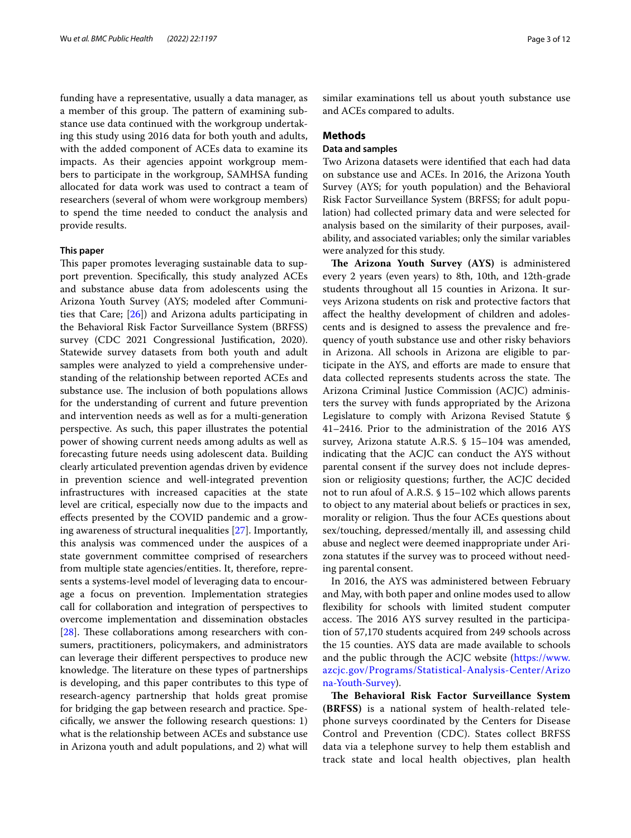funding have a representative, usually a data manager, as a member of this group. The pattern of examining substance use data continued with the workgroup undertaking this study using 2016 data for both youth and adults, with the added component of ACEs data to examine its impacts. As their agencies appoint workgroup members to participate in the workgroup, SAMHSA funding allocated for data work was used to contract a team of researchers (several of whom were workgroup members) to spend the time needed to conduct the analysis and provide results.

# **This paper**

This paper promotes leveraging sustainable data to support prevention. Specifcally, this study analyzed ACEs and substance abuse data from adolescents using the Arizona Youth Survey (AYS; modeled after Communities that Care; [[26\]](#page-11-17)) and Arizona adults participating in the Behavioral Risk Factor Surveillance System (BRFSS) survey (CDC 2021 Congressional Justifcation, 2020). Statewide survey datasets from both youth and adult samples were analyzed to yield a comprehensive understanding of the relationship between reported ACEs and substance use. The inclusion of both populations allows for the understanding of current and future prevention and intervention needs as well as for a multi-generation perspective. As such, this paper illustrates the potential power of showing current needs among adults as well as forecasting future needs using adolescent data. Building clearly articulated prevention agendas driven by evidence in prevention science and well-integrated prevention infrastructures with increased capacities at the state level are critical, especially now due to the impacts and efects presented by the COVID pandemic and a growing awareness of structural inequalities [[27\]](#page-11-18). Importantly, this analysis was commenced under the auspices of a state government committee comprised of researchers from multiple state agencies/entities. It, therefore, represents a systems-level model of leveraging data to encourage a focus on prevention. Implementation strategies call for collaboration and integration of perspectives to overcome implementation and dissemination obstacles [ $28$ ]. These collaborations among researchers with consumers, practitioners, policymakers, and administrators can leverage their diferent perspectives to produce new knowledge. The literature on these types of partnerships is developing, and this paper contributes to this type of research-agency partnership that holds great promise for bridging the gap between research and practice. Specifcally, we answer the following research questions: 1) what is the relationship between ACEs and substance use in Arizona youth and adult populations, and 2) what will similar examinations tell us about youth substance use and ACEs compared to adults.

# **Methods**

# **Data and samples**

Two Arizona datasets were identifed that each had data on substance use and ACEs. In 2016, the Arizona Youth Survey (AYS; for youth population) and the Behavioral Risk Factor Surveillance System (BRFSS; for adult population) had collected primary data and were selected for analysis based on the similarity of their purposes, availability, and associated variables; only the similar variables were analyzed for this study.

The Arizona Youth Survey (AYS) is administered every 2 years (even years) to 8th, 10th, and 12th-grade students throughout all 15 counties in Arizona. It surveys Arizona students on risk and protective factors that afect the healthy development of children and adolescents and is designed to assess the prevalence and frequency of youth substance use and other risky behaviors in Arizona. All schools in Arizona are eligible to participate in the AYS, and efforts are made to ensure that data collected represents students across the state. The Arizona Criminal Justice Commission (ACJC) administers the survey with funds appropriated by the Arizona Legislature to comply with Arizona Revised Statute § 41–2416. Prior to the administration of the 2016 AYS survey, Arizona statute A.R.S. § 15–104 was amended, indicating that the ACJC can conduct the AYS without parental consent if the survey does not include depression or religiosity questions; further, the ACJC decided not to run afoul of A.R.S. § 15–102 which allows parents to object to any material about beliefs or practices in sex, morality or religion. Thus the four ACEs questions about sex/touching, depressed/mentally ill, and assessing child abuse and neglect were deemed inappropriate under Arizona statutes if the survey was to proceed without needing parental consent.

In 2016, the AYS was administered between February and May, with both paper and online modes used to allow fexibility for schools with limited student computer access. The 2016 AYS survey resulted in the participation of 57,170 students acquired from 249 schools across the 15 counties. AYS data are made available to schools and the public through the ACJC website [\(https://www.](https://www.azcjc.gov/Programs/Statistical-Analysis-Center/Arizona-Youth-Survey) [azcjc.gov/Programs/Statistical-Analysis-Center/Arizo](https://www.azcjc.gov/Programs/Statistical-Analysis-Center/Arizona-Youth-Survey) [na-Youth-Survey](https://www.azcjc.gov/Programs/Statistical-Analysis-Center/Arizona-Youth-Survey)).

**The Behavioral Risk Factor Surveillance System (BRFSS)** is a national system of health-related telephone surveys coordinated by the Centers for Disease Control and Prevention (CDC). States collect BRFSS data via a telephone survey to help them establish and track state and local health objectives, plan health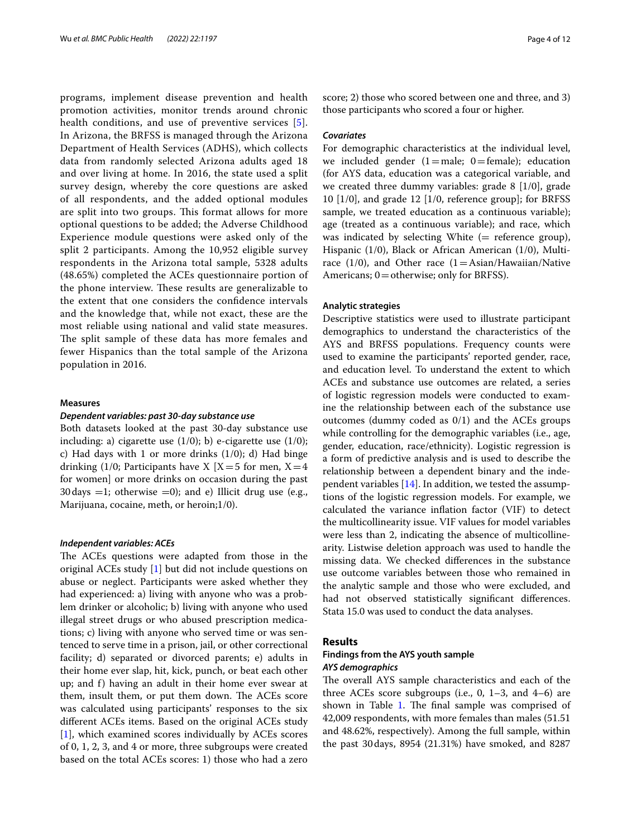programs, implement disease prevention and health promotion activities, monitor trends around chronic health conditions, and use of preventive services [[5\]](#page-10-4). In Arizona, the BRFSS is managed through the Arizona Department of Health Services (ADHS), which collects data from randomly selected Arizona adults aged 18 and over living at home. In 2016, the state used a split survey design, whereby the core questions are asked of all respondents, and the added optional modules are split into two groups. This format allows for more optional questions to be added; the Adverse Childhood Experience module questions were asked only of the split 2 participants. Among the 10,952 eligible survey respondents in the Arizona total sample, 5328 adults (48.65%) completed the ACEs questionnaire portion of the phone interview. These results are generalizable to the extent that one considers the confdence intervals and the knowledge that, while not exact, these are the most reliable using national and valid state measures. The split sample of these data has more females and fewer Hispanics than the total sample of the Arizona population in 2016.

# **Measures**

#### *Dependent variables: past 30‑day substance use*

Both datasets looked at the past 30-day substance use including: a) cigarette use  $(1/0)$ ; b) e-cigarette use  $(1/0)$ ; c) Had days with 1 or more drinks  $(1/0)$ ; d) Had binge drinking (1/0; Participants have X  $[X=5$  for men,  $X=4$ for women] or more drinks on occasion during the past 30 days  $=1$ ; otherwise  $=0$ ); and e) Illicit drug use (e.g., Marijuana, cocaine, meth, or heroin;1/0).

# *Independent variables: ACEs*

The ACEs questions were adapted from those in the original ACEs study [\[1\]](#page-10-0) but did not include questions on abuse or neglect. Participants were asked whether they had experienced: a) living with anyone who was a problem drinker or alcoholic; b) living with anyone who used illegal street drugs or who abused prescription medications; c) living with anyone who served time or was sentenced to serve time in a prison, jail, or other correctional facility; d) separated or divorced parents; e) adults in their home ever slap, hit, kick, punch, or beat each other up; and f) having an adult in their home ever swear at them, insult them, or put them down. The ACEs score was calculated using participants' responses to the six diferent ACEs items. Based on the original ACEs study [[1\]](#page-10-0), which examined scores individually by ACEs scores of 0, 1, 2, 3, and 4 or more, three subgroups were created based on the total ACEs scores: 1) those who had a zero score; 2) those who scored between one and three, and 3) those participants who scored a four or higher.

#### *Covariates*

For demographic characteristics at the individual level, we included gender  $(1=mae; 0=female);$  education (for AYS data, education was a categorical variable, and we created three dummy variables: grade 8 [1/0], grade 10 [1/0], and grade 12 [1/0, reference group]; for BRFSS sample, we treated education as a continuous variable); age (treated as a continuous variable); and race, which was indicated by selecting White  $(=$  reference group), Hispanic (1/0), Black or African American (1/0), Multirace  $(1/0)$ , and Other race  $(1=Asian/Hawaiian/Native)$ Americans; 0 = otherwise; only for BRFSS).

# **Analytic strategies**

Descriptive statistics were used to illustrate participant demographics to understand the characteristics of the AYS and BRFSS populations. Frequency counts were used to examine the participants' reported gender, race, and education level. To understand the extent to which ACEs and substance use outcomes are related, a series of logistic regression models were conducted to examine the relationship between each of the substance use outcomes (dummy coded as 0/1) and the ACEs groups while controlling for the demographic variables (i.e., age, gender, education, race/ethnicity). Logistic regression is a form of predictive analysis and is used to describe the relationship between a dependent binary and the independent variables  $[14]$  $[14]$ . In addition, we tested the assumptions of the logistic regression models. For example, we calculated the variance infation factor (VIF) to detect the multicollinearity issue. VIF values for model variables were less than 2, indicating the absence of multicollinearity. Listwise deletion approach was used to handle the missing data. We checked diferences in the substance use outcome variables between those who remained in the analytic sample and those who were excluded, and had not observed statistically signifcant diferences. Stata 15.0 was used to conduct the data analyses.

# **Results**

# **Findings from the AYS youth sample** *AYS demographics*

The overall AYS sample characteristics and each of the three ACEs score subgroups (i.e.,  $0$ ,  $1-3$ , and  $4-6$ ) are shown in Table  $1$ . The final sample was comprised of 42,009 respondents, with more females than males (51.51 and 48.62%, respectively). Among the full sample, within the past 30days, 8954 (21.31%) have smoked, and 8287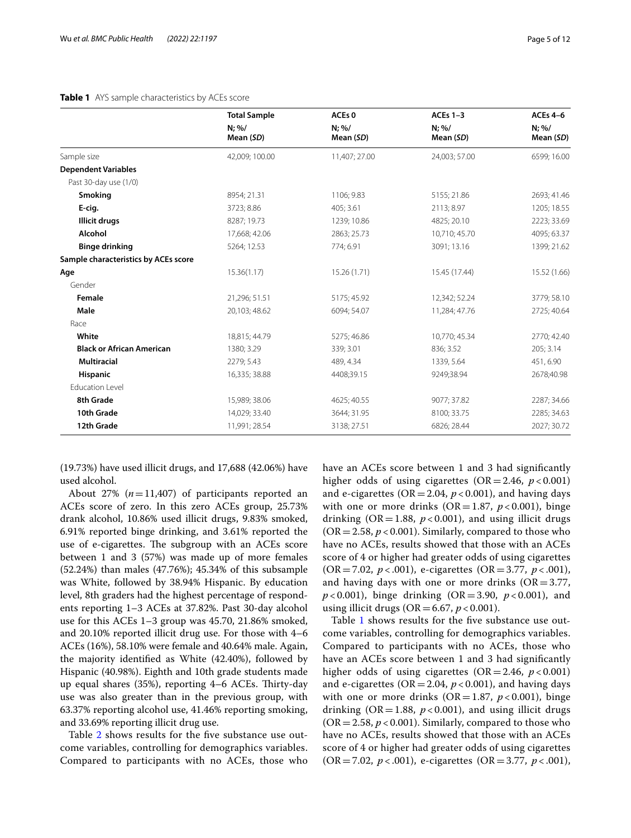# <span id="page-4-0"></span>**Table 1** AYS sample characteristics by ACEs score

|                                      | <b>Total Sample</b><br>$N: \%/$<br>Mean (SD) | ACEs <sub>0</sub><br>$N; \%/$<br>Mean (SD) | ACEs $1-3$<br>$N; \%$<br>Mean (SD) | <b>ACEs 4-6</b><br>$N; \%/$<br>Mean (SD) |
|--------------------------------------|----------------------------------------------|--------------------------------------------|------------------------------------|------------------------------------------|
|                                      |                                              |                                            |                                    |                                          |
| Sample size                          | 42,009; 100.00                               | 11,407; 27.00                              | 24,003; 57.00                      | 6599; 16.00                              |
| <b>Dependent Variables</b>           |                                              |                                            |                                    |                                          |
| Past 30-day use (1/0)                |                                              |                                            |                                    |                                          |
| Smoking                              | 8954; 21.31                                  | 1106; 9.83                                 | 5155; 21.86                        | 2693; 41.46                              |
| E-cig.                               | 3723; 8.86                                   | 405; 3.61                                  | 2113; 8.97                         | 1205; 18.55                              |
| Illicit drugs                        | 8287; 19.73                                  | 1239; 10.86                                | 4825; 20.10                        | 2223; 33.69                              |
| Alcohol                              | 17,668; 42.06                                | 2863; 25.73                                | 10,710; 45.70                      | 4095; 63.37                              |
| <b>Binge drinking</b>                | 5264; 12.53                                  | 774; 6.91                                  | 3091; 13.16                        | 1399; 21.62                              |
| Sample characteristics by ACEs score |                                              |                                            |                                    |                                          |
| Age                                  | 15.36(1.17)                                  | 15.26 (1.71)                               | 15.45 (17.44)                      | 15.52 (1.66)                             |
| Gender                               |                                              |                                            |                                    |                                          |
| Female                               | 21,296; 51.51                                | 5175; 45.92                                | 12,342; 52.24                      | 3779; 58.10                              |
| Male                                 | 20,103; 48.62                                | 6094; 54.07                                | 11,284; 47.76                      | 2725; 40.64                              |
| Race                                 |                                              |                                            |                                    |                                          |
| White                                | 18,815; 44.79                                | 5275; 46.86                                | 10,770; 45.34                      | 2770; 42.40                              |
| <b>Black or African American</b>     | 1380; 3.29                                   | 339; 3.01                                  | 836; 3.52                          | 205; 3.14                                |
| <b>Multiracial</b>                   | 2279; 5.43                                   | 489, 4.34                                  | 1339, 5.64                         | 451, 6.90                                |
| <b>Hispanic</b>                      | 16,335; 38.88                                | 4408;39.15                                 | 9249;38.94                         | 2678;40.98                               |
| <b>Education Level</b>               |                                              |                                            |                                    |                                          |
| 8th Grade                            | 15,989; 38.06                                | 4625; 40.55                                | 9077; 37.82                        | 2287; 34.66                              |
| 10th Grade                           | 14,029; 33.40                                | 3644; 31.95                                | 8100; 33.75                        | 2285; 34.63                              |
| 12th Grade                           | 11,991; 28.54                                | 3138; 27.51                                | 6826; 28.44                        | 2027; 30.72                              |

(19.73%) have used illicit drugs, and 17,688 (42.06%) have used alcohol.

About 27% (*n*=11,407) of participants reported an ACEs score of zero. In this zero ACEs group, 25.73% drank alcohol, 10.86% used illicit drugs, 9.83% smoked, 6.91% reported binge drinking, and 3.61% reported the use of e-cigarettes. The subgroup with an ACEs score between 1 and 3 (57%) was made up of more females (52.24%) than males (47.76%); 45.34% of this subsample was White, followed by 38.94% Hispanic. By education level, 8th graders had the highest percentage of respondents reporting 1–3 ACEs at 37.82%. Past 30-day alcohol use for this ACEs 1–3 group was 45.70, 21.86% smoked, and 20.10% reported illicit drug use. For those with 4–6 ACEs (16%), 58.10% were female and 40.64% male. Again, the majority identifed as White (42.40%), followed by Hispanic (40.98%). Eighth and 10th grade students made up equal shares (35%), reporting 4–6 ACEs. Thirty-day use was also greater than in the previous group, with 63.37% reporting alcohol use, 41.46% reporting smoking, and 33.69% reporting illicit drug use.

Table [2](#page-5-0) shows results for the fve substance use outcome variables, controlling for demographics variables. Compared to participants with no ACEs, those who have an ACEs score between 1 and 3 had signifcantly higher odds of using cigarettes  $(OR = 2.46, p < 0.001)$ and e-cigarettes ( $OR = 2.04$ ,  $p < 0.001$ ), and having days with one or more drinks ( $OR = 1.87$ ,  $p < 0.001$ ), binge drinking ( $OR = 1.88$ ,  $p < 0.001$ ), and using illicit drugs  $(OR = 2.58, p < 0.001)$ . Similarly, compared to those who have no ACEs, results showed that those with an ACEs score of 4 or higher had greater odds of using cigarettes (OR=7.02, *p* < .001), e-cigarettes (OR=3.77, *p* < .001), and having days with one or more drinks ( $OR = 3.77$ , *p* < 0.001), binge drinking (OR=3.90, *p* < 0.001), and using illicit drugs ( $OR = 6.67$ ,  $p < 0.001$ ).

Table [1](#page-4-0) shows results for the fve substance use outcome variables, controlling for demographics variables. Compared to participants with no ACEs, those who have an ACEs score between 1 and 3 had signifcantly higher odds of using cigarettes  $(OR = 2.46, p < 0.001)$ and e-cigarettes ( $OR = 2.04$ ,  $p < 0.001$ ), and having days with one or more drinks  $(OR=1.87, p<0.001)$ , binge drinking ( $OR = 1.88$ ,  $p < 0.001$ ), and using illicit drugs  $(OR = 2.58, p < 0.001)$ . Similarly, compared to those who have no ACEs, results showed that those with an ACEs score of 4 or higher had greater odds of using cigarettes (OR=7.02, *p* < .001), e-cigarettes (OR=3.77, *p* < .001),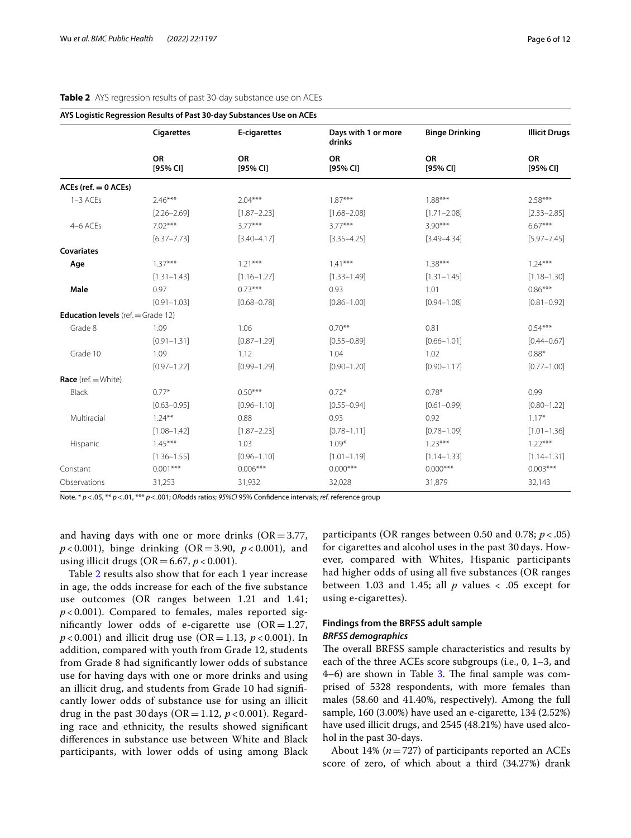|                                             | <b>Cigarettes</b><br><b>OR</b><br>$[95%$ CI] | E-cigarettes<br><b>OR</b><br>$[95%$ CI] | Days with 1 or more<br>drinks<br><b>OR</b><br>[95% CI] | <b>Binge Drinking</b><br><b>OR</b><br>[95% CI] | <b>Illicit Drugs</b><br><b>OR</b><br>[95% CI] |
|---------------------------------------------|----------------------------------------------|-----------------------------------------|--------------------------------------------------------|------------------------------------------------|-----------------------------------------------|
|                                             |                                              |                                         |                                                        |                                                |                                               |
| $ACEs$ (ref. $= 0$ ACEs)                    |                                              |                                         |                                                        |                                                |                                               |
| $1-3$ ACEs                                  | $2.46***$                                    | $2.04***$                               | $1.87***$                                              | $1.88***$                                      | $2.58***$                                     |
|                                             | $[2.26 - 2.69]$                              | $[1.87 - 2.23]$                         | $[1.68 - 2.08]$                                        | $[1.71 - 2.08]$                                | $[2.33 - 2.85]$                               |
| 4-6 ACEs                                    | $7.02***$                                    | $3.77***$                               | $3.77***$                                              | $3.90***$                                      | $6.67***$                                     |
|                                             | $[6.37 - 7.73]$                              | $[3.40 - 4.17]$                         | $[3.35 - 4.25]$                                        | $[3.49 - 4.34]$                                | $[5.97 - 7.45]$                               |
| <b>Covariates</b>                           |                                              |                                         |                                                        |                                                |                                               |
| Age                                         | $1.37***$                                    | $1.21***$                               | $1.41***$                                              | $1.38***$                                      | $1.24***$                                     |
|                                             | $[1.31 - 1.43]$                              | $[1.16 - 1.27]$                         | $[1.33 - 1.49]$                                        | $[1.31 - 1.45]$                                | $[1.18 - 1.30]$                               |
| Male                                        | 0.97                                         | $0.73***$                               | 0.93                                                   | 1.01                                           | $0.86***$                                     |
|                                             | $[0.91 - 1.03]$                              | $[0.68 - 0.78]$                         | $[0.86 - 1.00]$                                        | $[0.94 - 1.08]$                                | $[0.81 - 0.92]$                               |
| <b>Education levels</b> (ref. $=$ Grade 12) |                                              |                                         |                                                        |                                                |                                               |
| Grade 8                                     | 1.09                                         | 1.06                                    | $0.70***$                                              | 0.81                                           | $0.54***$                                     |
|                                             | $[0.91 - 1.31]$                              | $[0.87 - 1.29]$                         | $[0.55 - 0.89]$                                        | $[0.66 - 1.01]$                                | $[0.44 - 0.67]$                               |
| Grade 10                                    | 1.09                                         | 1.12                                    | 1.04                                                   | 1.02                                           | $0.88*$                                       |
|                                             | $[0.97 - 1.22]$                              | $[0.99 - 1.29]$                         | $[0.90 - 1.20]$                                        | $[0.90 - 1.17]$                                | $[0.77 - 1.00]$                               |
| Race (ref. $=$ White)                       |                                              |                                         |                                                        |                                                |                                               |
| <b>Black</b>                                | $0.77*$                                      | $0.50***$                               | $0.72*$                                                | $0.78*$                                        | 0.99                                          |
|                                             | $[0.63 - 0.95]$                              | $[0.96 - 1.10]$                         | $[0.55 - 0.94]$                                        | $[0.61 - 0.99]$                                | $[0.80 - 1.22]$                               |
| Multiracial                                 | $1.24***$                                    | 0.88                                    | 0.93                                                   | 0.92                                           | $1.17*$                                       |
|                                             | $[1.08 - 1.42]$                              | $[1.87 - 2.23]$                         | $[0.78 - 1.11]$                                        | $[0.78 - 1.09]$                                | $[1.01 - 1.36]$                               |
| Hispanic                                    | $1.45***$                                    | 1.03                                    | $1.09*$                                                | $1.23***$                                      | $1.22***$                                     |
|                                             | $[1.36 - 1.55]$                              | $[0.96 - 1.10]$                         | $[1.01 - 1.19]$                                        | $[1.14 - 1.33]$                                | $[1.14 - 1.31]$                               |
| Constant                                    | $0.001***$                                   | $0.006***$                              | $0.000***$                                             | $0.000***$                                     | $0.003***$                                    |
| Observations                                | 31,253                                       | 31,932                                  | 32,028                                                 | 31,879                                         | 32,143                                        |
|                                             |                                              |                                         |                                                        |                                                |                                               |

# <span id="page-5-0"></span>**Table 2** AYS regression results of past 30-day substance use on ACEs

Note. \* *p*<.05, \*\* *p*<.01, \*\*\* *p*<.001; *OR*odds ratios; *95%CI* 95% Confdence intervals; *ref.* reference group

and having days with one or more drinks  $(OR = 3.77,$ *p* < 0.001), binge drinking (OR=3.90, *p* < 0.001), and using illicit drugs (OR=6.67, *p* < 0.001).

Table [2](#page-5-0) results also show that for each 1 year increase in age, the odds increase for each of the fve substance use outcomes (OR ranges between 1.21 and 1.41;  $p$  < 0.001). Compared to females, males reported significantly lower odds of e-cigarette use  $(OR=1.27,$ *p* < 0.001) and illicit drug use (OR = 1.13, *p* < 0.001). In addition, compared with youth from Grade 12, students from Grade 8 had signifcantly lower odds of substance use for having days with one or more drinks and using an illicit drug, and students from Grade 10 had signifcantly lower odds of substance use for using an illicit drug in the past 30 days ( $OR = 1.12$ ,  $p < 0.001$ ). Regarding race and ethnicity, the results showed signifcant diferences in substance use between White and Black participants, with lower odds of using among Black

participants (OR ranges between 0.50 and 0.78; *p* < .05) for cigarettes and alcohol uses in the past 30 days. However, compared with Whites, Hispanic participants had higher odds of using all fve substances (OR ranges between 1.03 and 1.45; all  $p$  values  $\lt$  0.05 except for using e-cigarettes).

# **Findings from the BRFSS adult sample** *BRFSS demographics*

The overall BRFSS sample characteristics and results by each of the three ACEs score subgroups (i.e., 0, 1–3, and  $4-6$ ) are shown in Table [3.](#page-6-0) The final sample was comprised of 5328 respondents, with more females than males (58.60 and 41.40%, respectively). Among the full sample, 160 (3.00%) have used an e-cigarette, 134 (2.52%) have used illicit drugs, and 2545 (48.21%) have used alcohol in the past 30-days.

About 14% (*n*=727) of participants reported an ACEs score of zero, of which about a third (34.27%) drank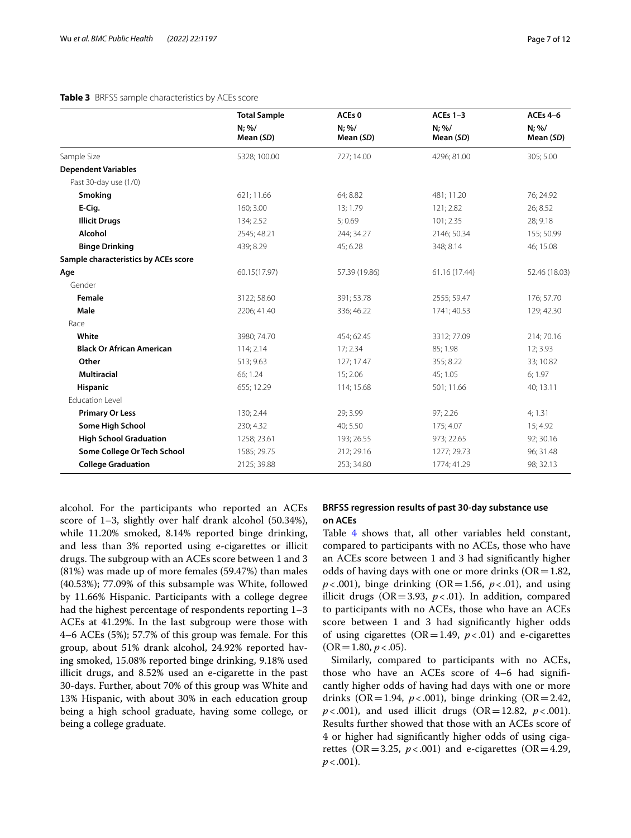# <span id="page-6-0"></span>**Table 3** BRFSS sample characteristics by ACEs score

|                                      | <b>Total Sample</b><br>$N; \%/$<br>Mean (SD) | ACEs <sub>0</sub><br>$N; \%/$<br>Mean (SD) | ACEs $1-3$<br>$N; \%$<br>Mean (SD) | <b>ACEs 4-6</b><br>$N; \%$<br>Mean (SD) |
|--------------------------------------|----------------------------------------------|--------------------------------------------|------------------------------------|-----------------------------------------|
|                                      |                                              |                                            |                                    |                                         |
| Sample Size                          | 5328; 100.00                                 | 727; 14.00                                 | 4296; 81.00                        | 305; 5.00                               |
| <b>Dependent Variables</b>           |                                              |                                            |                                    |                                         |
| Past 30-day use (1/0)                |                                              |                                            |                                    |                                         |
| <b>Smoking</b>                       | 621; 11.66                                   | 64; 8.82                                   | 481; 11.20                         | 76; 24.92                               |
| E-Cig.                               | 160; 3.00                                    | 13; 1.79                                   | 121; 2.82                          | 26; 8.52                                |
| <b>Illicit Drugs</b>                 | 134; 2.52                                    | 5:0.69                                     | 101; 2.35                          | 28; 9.18                                |
| Alcohol                              | 2545; 48.21                                  | 244; 34.27                                 | 2146; 50.34                        | 155; 50.99                              |
| <b>Binge Drinking</b>                | 439; 8.29                                    | 45; 6.28                                   | 348; 8.14                          | 46; 15.08                               |
| Sample characteristics by ACEs score |                                              |                                            |                                    |                                         |
| Age                                  | 60.15(17.97)                                 | 57.39 (19.86)                              | 61.16 (17.44)                      | 52.46 (18.03)                           |
| Gender                               |                                              |                                            |                                    |                                         |
| Female                               | 3122; 58.60                                  | 391; 53.78                                 | 2555; 59.47                        | 176; 57.70                              |
| Male                                 | 2206; 41.40                                  | 336; 46.22                                 | 1741; 40.53                        | 129; 42.30                              |
| Race                                 |                                              |                                            |                                    |                                         |
| White                                | 3980; 74.70                                  | 454; 62.45                                 | 3312; 77.09                        | 214; 70.16                              |
| <b>Black Or African American</b>     | 114; 2.14                                    | 17:2.34                                    | 85; 1.98                           | 12; 3.93                                |
| Other                                | 513; 9.63                                    | 127; 17.47                                 | 355; 8.22                          | 33; 10.82                               |
| <b>Multiracial</b>                   | 66; 1.24                                     | 15; 2.06                                   | 45; 1.05                           | 6; 1.97                                 |
| <b>Hispanic</b>                      | 655; 12.29                                   | 114; 15.68                                 | 501; 11.66                         | 40; 13.11                               |
| <b>Education Level</b>               |                                              |                                            |                                    |                                         |
| <b>Primary Or Less</b>               | 130; 2.44                                    | 29; 3.99                                   | 97; 2.26                           | 4; 1.31                                 |
| Some High School                     | 230; 4.32                                    | 40; 5.50                                   | 175; 4.07                          | 15; 4.92                                |
| <b>High School Graduation</b>        | 1258; 23.61                                  | 193; 26.55                                 | 973; 22.65                         | 92; 30.16                               |
| Some College Or Tech School          | 1585; 29.75                                  | 212; 29.16                                 | 1277; 29.73                        | 96; 31.48                               |
| <b>College Graduation</b>            | 2125; 39.88                                  | 253; 34.80                                 | 1774; 41.29                        | 98; 32.13                               |

alcohol. For the participants who reported an ACEs score of 1–3, slightly over half drank alcohol (50.34%), while 11.20% smoked, 8.14% reported binge drinking, and less than 3% reported using e-cigarettes or illicit drugs. The subgroup with an ACEs score between 1 and 3 (81%) was made up of more females (59.47%) than males (40.53%); 77.09% of this subsample was White, followed by 11.66% Hispanic. Participants with a college degree had the highest percentage of respondents reporting 1–3 ACEs at 41.29%. In the last subgroup were those with 4–6 ACEs (5%); 57.7% of this group was female. For this group, about 51% drank alcohol, 24.92% reported having smoked, 15.08% reported binge drinking, 9.18% used illicit drugs, and 8.52% used an e-cigarette in the past 30-days. Further, about 70% of this group was White and 13% Hispanic, with about 30% in each education group being a high school graduate, having some college, or being a college graduate.

# **BRFSS regression results of past 30-day substance use on ACEs**

Table [4](#page-7-0) shows that, all other variables held constant, compared to participants with no ACEs, those who have an ACEs score between 1 and 3 had signifcantly higher odds of having days with one or more drinks  $(OR=1.82,$  $p$ <.001), binge drinking (OR=1.56,  $p$ <.01), and using illicit drugs ( $OR = 3.93$ ,  $p < .01$ ). In addition, compared to participants with no ACEs, those who have an ACEs score between 1 and 3 had signifcantly higher odds of using cigarettes ( $OR = 1.49$ ,  $p < .01$ ) and e-cigarettes  $(OR = 1.80, p < .05).$ 

Similarly, compared to participants with no ACEs, those who have an ACEs score of 4–6 had signifcantly higher odds of having had days with one or more drinks (OR=1.94,  $p < .001$ ), binge drinking (OR=2.42, *p*<.001), and used illicit drugs (OR=12.82, *p*<.001). Results further showed that those with an ACEs score of 4 or higher had signifcantly higher odds of using cigarettes (OR=3.25,  $p < .001$ ) and e-cigarettes (OR=4.29,  $p < .001$ ).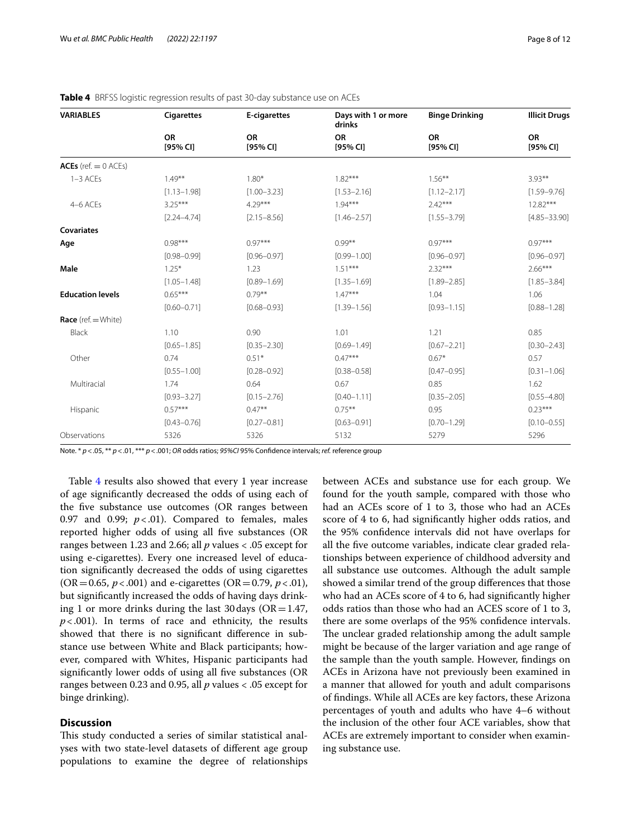| <b>VARIABLES</b>        | <b>Cigarettes</b>     | E-cigarettes          | Days with 1 or more<br>drinks | <b>Binge Drinking</b>   | <b>Illicit Drugs</b>  |
|-------------------------|-----------------------|-----------------------|-------------------------------|-------------------------|-----------------------|
|                         | <b>OR</b><br>[95% CI] | <b>OR</b><br>[95% CI] | <b>OR</b><br>$[95%$ CI]       | <b>OR</b><br>$[95%$ CI] | <b>OR</b><br>[95% CI] |
| ACEs (ref. $= 0$ ACEs)  |                       |                       |                               |                         |                       |
| $1-3$ ACEs              | $1.49***$             | $1.80*$               | $1.82***$                     | $1.56***$               | $3.93***$             |
|                         | $[1.13 - 1.98]$       | $[1.00 - 3.23]$       | $[1.53 - 2.16]$               | $[1.12 - 2.17]$         | $[1.59 - 9.76]$       |
| 4-6 ACEs                | $3.25***$             | $4.29***$             | $1.94***$                     | $2.42***$               | $12.82***$            |
|                         | $[2.24 - 4.74]$       | $[2.15 - 8.56]$       | $[1.46 - 2.57]$               | $[1.55 - 3.79]$         | $[4.85 - 33.90]$      |
| <b>Covariates</b>       |                       |                       |                               |                         |                       |
| Age                     | $0.98***$             | $0.97***$             | $0.99***$                     | $0.97***$               | $0.97***$             |
|                         | $[0.98 - 0.99]$       | $[0.96 - 0.97]$       | $[0.99 - 1.00]$               | $[0.96 - 0.97]$         | $[0.96 - 0.97]$       |
| Male                    | $1.25*$               | 1.23                  | $1.51***$                     | $2.32***$               | $2.66***$             |
|                         | $[1.05 - 1.48]$       | $[0.89 - 1.69]$       | $[1.35 - 1.69]$               | $[1.89 - 2.85]$         | $[1.85 - 3.84]$       |
| <b>Education levels</b> | $0.65***$             | $0.79***$             | $1.47***$                     | 1.04                    | 1.06                  |
|                         | $[0.60 - 0.71]$       | $[0.68 - 0.93]$       | $[1.39 - 1.56]$               | $[0.93 - 1.15]$         | $[0.88 - 1.28]$       |
| Race ( $ref. = White$ ) |                       |                       |                               |                         |                       |
| Black                   | 1.10                  | 0.90                  | 1.01                          | 1.21                    | 0.85                  |
|                         | $[0.65 - 1.85]$       | $[0.35 - 2.30]$       | $[0.69 - 1.49]$               | $[0.67 - 2.21]$         | $[0.30 - 2.43]$       |
| Other                   | 0.74                  | $0.51*$               | $0.47***$                     | $0.67*$                 | 0.57                  |
|                         | $[0.55 - 1.00]$       | $[0.28 - 0.92]$       | $[0.38 - 0.58]$               | $[0.47 - 0.95]$         | $[0.31 - 1.06]$       |
| Multiracial             | 1.74                  | 0.64                  | 0.67                          | 0.85                    | 1.62                  |
|                         | $[0.93 - 3.27]$       | $[0.15 - 2.76]$       | $[0.40 - 1.11]$               | $[0.35 - 2.05]$         | $[0.55 - 4.80]$       |
| Hispanic                | $0.57***$             | $0.47**$              | $0.75***$                     | 0.95                    | $0.23***$             |
|                         | $[0.43 - 0.76]$       | $[0.27 - 0.81]$       | $[0.63 - 0.91]$               | $[0.70 - 1.29]$         | $[0.10 - 0.55]$       |
| Observations            | 5326                  | 5326                  | 5132                          | 5279                    | 5296                  |

<span id="page-7-0"></span>

Note. \* *p*<.05, \*\* *p*<.01, \*\*\* *p*<.001; *OR* odds ratios; *95%CI* 95% Confdence intervals; *ref.* reference group

Table [4](#page-7-0) results also showed that every 1 year increase of age signifcantly decreased the odds of using each of the fve substance use outcomes (OR ranges between 0.97 and 0.99;  $p < .01$ ). Compared to females, males reported higher odds of using all fve substances (OR ranges between 1.23 and 2.66; all *p* values < .05 except for using e-cigarettes). Every one increased level of education signifcantly decreased the odds of using cigarettes  $(OR = 0.65, p < .001)$  and e-cigarettes  $(OR = 0.79, p < .01)$ , but signifcantly increased the odds of having days drinking 1 or more drinks during the last 30 days ( $OR = 1.47$ ,  $p < .001$ ). In terms of race and ethnicity, the results showed that there is no signifcant diference in substance use between White and Black participants; however, compared with Whites, Hispanic participants had significantly lower odds of using all five substances (OR ranges between 0.23 and 0.95, all *p* values < .05 except for binge drinking).

# **Discussion**

This study conducted a series of similar statistical analyses with two state-level datasets of diferent age group populations to examine the degree of relationships between ACEs and substance use for each group. We found for the youth sample, compared with those who had an ACEs score of 1 to 3, those who had an ACEs score of 4 to 6, had signifcantly higher odds ratios, and the 95% confdence intervals did not have overlaps for all the fve outcome variables, indicate clear graded relationships between experience of childhood adversity and all substance use outcomes. Although the adult sample showed a similar trend of the group diferences that those who had an ACEs score of 4 to 6, had signifcantly higher odds ratios than those who had an ACES score of 1 to 3, there are some overlaps of the 95% confdence intervals. The unclear graded relationship among the adult sample might be because of the larger variation and age range of the sample than the youth sample. However, fndings on ACEs in Arizona have not previously been examined in a manner that allowed for youth and adult comparisons of fndings. While all ACEs are key factors, these Arizona percentages of youth and adults who have 4–6 without the inclusion of the other four ACE variables, show that ACEs are extremely important to consider when examining substance use.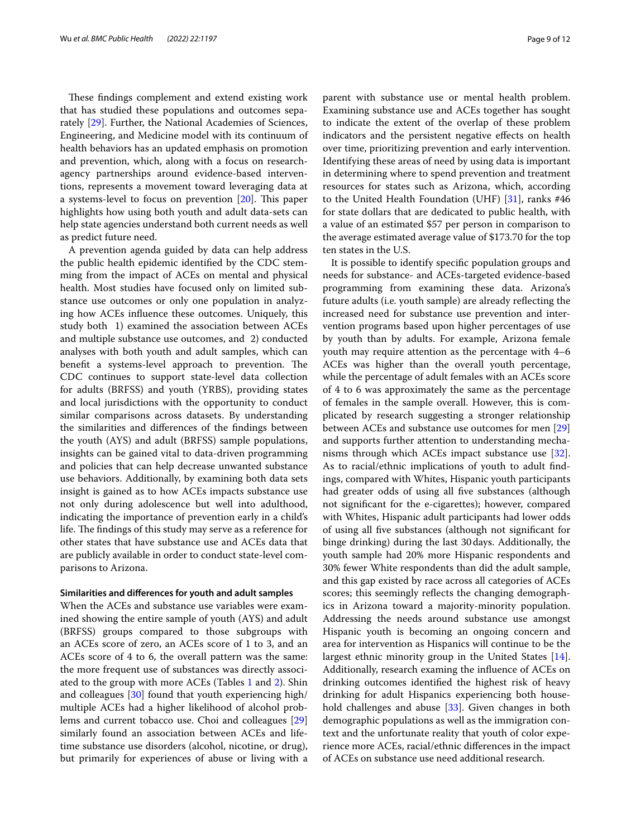These findings complement and extend existing work that has studied these populations and outcomes separately [[29\]](#page-11-20). Further, the National Academies of Sciences, Engineering, and Medicine model with its continuum of health behaviors has an updated emphasis on promotion and prevention, which, along with a focus on researchagency partnerships around evidence-based interventions, represents a movement toward leveraging data at a systems-level to focus on prevention  $[20]$  $[20]$ . This paper highlights how using both youth and adult data-sets can help state agencies understand both current needs as well as predict future need.

A prevention agenda guided by data can help address the public health epidemic identifed by the CDC stemming from the impact of ACEs on mental and physical health. Most studies have focused only on limited substance use outcomes or only one population in analyzing how ACEs infuence these outcomes. Uniquely, this study both 1) examined the association between ACEs and multiple substance use outcomes, and 2) conducted analyses with both youth and adult samples, which can benefit a systems-level approach to prevention. The CDC continues to support state-level data collection for adults (BRFSS) and youth (YRBS), providing states and local jurisdictions with the opportunity to conduct similar comparisons across datasets. By understanding the similarities and diferences of the fndings between the youth (AYS) and adult (BRFSS) sample populations, insights can be gained vital to data-driven programming and policies that can help decrease unwanted substance use behaviors. Additionally, by examining both data sets insight is gained as to how ACEs impacts substance use not only during adolescence but well into adulthood, indicating the importance of prevention early in a child's life. The findings of this study may serve as a reference for other states that have substance use and ACEs data that are publicly available in order to conduct state-level comparisons to Arizona.

# **Similarities and diferences for youth and adult samples**

When the ACEs and substance use variables were examined showing the entire sample of youth (AYS) and adult (BRFSS) groups compared to those subgroups with an ACEs score of zero, an ACEs score of 1 to 3, and an ACEs score of 4 to 6, the overall pattern was the same: the more frequent use of substances was directly associated to the group with more ACEs (Tables [1](#page-4-0) and [2\)](#page-5-0). Shin and colleagues [\[30](#page-11-21)] found that youth experiencing high/ multiple ACEs had a higher likelihood of alcohol problems and current tobacco use. Choi and colleagues [[29](#page-11-20)] similarly found an association between ACEs and lifetime substance use disorders (alcohol, nicotine, or drug), but primarily for experiences of abuse or living with a

parent with substance use or mental health problem. Examining substance use and ACEs together has sought to indicate the extent of the overlap of these problem indicators and the persistent negative efects on health over time, prioritizing prevention and early intervention. Identifying these areas of need by using data is important in determining where to spend prevention and treatment resources for states such as Arizona, which, according to the United Health Foundation (UHF) [\[31](#page-11-22)], ranks #46 for state dollars that are dedicated to public health, with a value of an estimated \$57 per person in comparison to the average estimated average value of \$173.70 for the top ten states in the U.S.

It is possible to identify specifc population groups and needs for substance- and ACEs-targeted evidence-based programming from examining these data. Arizona's future adults (i.e. youth sample) are already refecting the increased need for substance use prevention and intervention programs based upon higher percentages of use by youth than by adults. For example, Arizona female youth may require attention as the percentage with 4–6 ACEs was higher than the overall youth percentage, while the percentage of adult females with an ACEs score of 4 to 6 was approximately the same as the percentage of females in the sample overall. However, this is complicated by research suggesting a stronger relationship between ACEs and substance use outcomes for men [[29](#page-11-20)] and supports further attention to understanding mechanisms through which ACEs impact substance use [\[32](#page-11-23)]. As to racial/ethnic implications of youth to adult fndings, compared with Whites, Hispanic youth participants had greater odds of using all five substances (although not signifcant for the e-cigarettes); however, compared with Whites, Hispanic adult participants had lower odds of using all fve substances (although not signifcant for binge drinking) during the last 30days. Additionally, the youth sample had 20% more Hispanic respondents and 30% fewer White respondents than did the adult sample, and this gap existed by race across all categories of ACEs scores; this seemingly reflects the changing demographics in Arizona toward a majority-minority population. Addressing the needs around substance use amongst Hispanic youth is becoming an ongoing concern and area for intervention as Hispanics will continue to be the largest ethnic minority group in the United States [\[14](#page-11-5)]. Additionally, research examing the infuence of ACEs on drinking outcomes identifed the highest risk of heavy drinking for adult Hispanics experiencing both household challenges and abuse [\[33\]](#page-11-24). Given changes in both demographic populations as well as the immigration context and the unfortunate reality that youth of color experience more ACEs, racial/ethnic diferences in the impact of ACEs on substance use need additional research.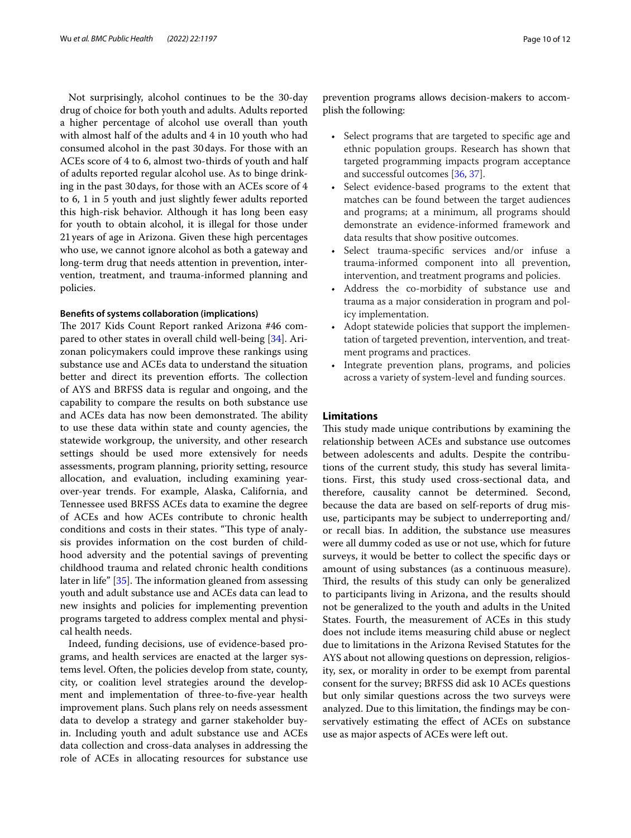Not surprisingly, alcohol continues to be the 30-day drug of choice for both youth and adults. Adults reported a higher percentage of alcohol use overall than youth with almost half of the adults and 4 in 10 youth who had consumed alcohol in the past 30days. For those with an ACEs score of 4 to 6, almost two-thirds of youth and half of adults reported regular alcohol use. As to binge drinking in the past 30days, for those with an ACEs score of 4 to 6, 1 in 5 youth and just slightly fewer adults reported this high-risk behavior. Although it has long been easy for youth to obtain alcohol, it is illegal for those under 21years of age in Arizona. Given these high percentages who use, we cannot ignore alcohol as both a gateway and long-term drug that needs attention in prevention, intervention, treatment, and trauma-informed planning and policies.

# **Benefts of systems collaboration (implications)**

The 2017 Kids Count Report ranked Arizona #46 compared to other states in overall child well-being [[34\]](#page-11-25). Arizonan policymakers could improve these rankings using substance use and ACEs data to understand the situation better and direct its prevention efforts. The collection of AYS and BRFSS data is regular and ongoing, and the capability to compare the results on both substance use and ACEs data has now been demonstrated. The ability to use these data within state and county agencies, the statewide workgroup, the university, and other research settings should be used more extensively for needs assessments, program planning, priority setting, resource allocation, and evaluation, including examining yearover-year trends. For example, Alaska, California, and Tennessee used BRFSS ACEs data to examine the degree of ACEs and how ACEs contribute to chronic health conditions and costs in their states. "This type of analysis provides information on the cost burden of childhood adversity and the potential savings of preventing childhood trauma and related chronic health conditions later in life"  $[35]$  $[35]$ . The information gleaned from assessing youth and adult substance use and ACEs data can lead to new insights and policies for implementing prevention programs targeted to address complex mental and physical health needs.

Indeed, funding decisions, use of evidence-based programs, and health services are enacted at the larger systems level. Often, the policies develop from state, county, city, or coalition level strategies around the development and implementation of three-to-fve-year health improvement plans. Such plans rely on needs assessment data to develop a strategy and garner stakeholder buyin. Including youth and adult substance use and ACEs data collection and cross-data analyses in addressing the role of ACEs in allocating resources for substance use prevention programs allows decision-makers to accomplish the following:

- Select programs that are targeted to specific age and ethnic population groups. Research has shown that targeted programming impacts program acceptance and successful outcomes [\[36,](#page-11-27) [37\]](#page-11-28).
- Select evidence-based programs to the extent that matches can be found between the target audiences and programs; at a minimum, all programs should demonstrate an evidence-informed framework and data results that show positive outcomes.
- Select trauma-specific services and/or infuse a trauma-informed component into all prevention, intervention, and treatment programs and policies.
- Address the co-morbidity of substance use and trauma as a major consideration in program and policy implementation.
- Adopt statewide policies that support the implementation of targeted prevention, intervention, and treatment programs and practices.
- Integrate prevention plans, programs, and policies across a variety of system-level and funding sources.

# **Limitations**

This study made unique contributions by examining the relationship between ACEs and substance use outcomes between adolescents and adults. Despite the contributions of the current study, this study has several limitations. First, this study used cross-sectional data, and therefore, causality cannot be determined. Second, because the data are based on self-reports of drug misuse, participants may be subject to underreporting and/ or recall bias. In addition, the substance use measures were all dummy coded as use or not use, which for future surveys, it would be better to collect the specifc days or amount of using substances (as a continuous measure). Third, the results of this study can only be generalized to participants living in Arizona, and the results should not be generalized to the youth and adults in the United States. Fourth, the measurement of ACEs in this study does not include items measuring child abuse or neglect due to limitations in the Arizona Revised Statutes for the AYS about not allowing questions on depression, religiosity, sex, or morality in order to be exempt from parental consent for the survey; BRFSS did ask 10 ACEs questions but only similar questions across the two surveys were analyzed. Due to this limitation, the fndings may be conservatively estimating the efect of ACEs on substance use as major aspects of ACEs were left out.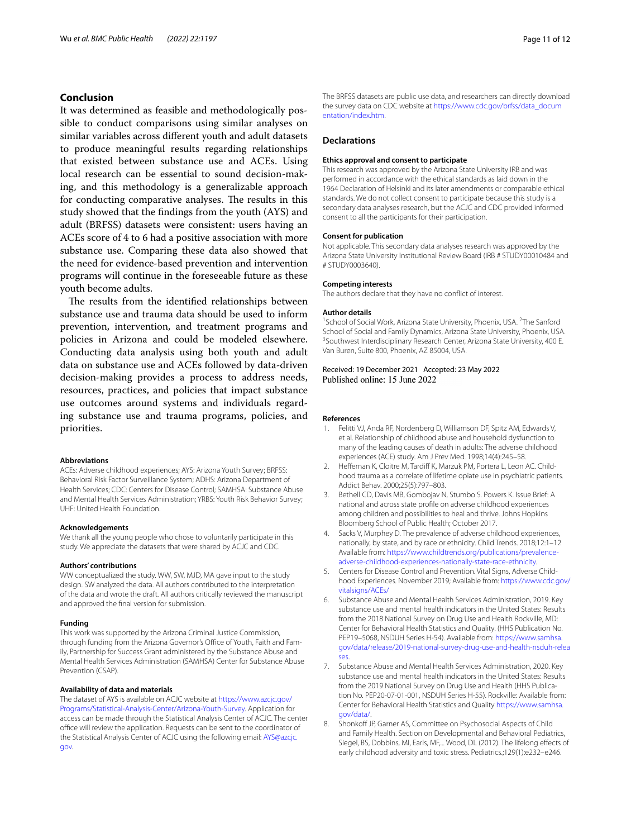# **Conclusion**

It was determined as feasible and methodologically possible to conduct comparisons using similar analyses on similar variables across diferent youth and adult datasets to produce meaningful results regarding relationships that existed between substance use and ACEs. Using local research can be essential to sound decision-making, and this methodology is a generalizable approach for conducting comparative analyses. The results in this study showed that the fndings from the youth (AYS) and adult (BRFSS) datasets were consistent: users having an ACEs score of 4 to 6 had a positive association with more substance use. Comparing these data also showed that the need for evidence-based prevention and intervention programs will continue in the foreseeable future as these youth become adults.

The results from the identified relationships between substance use and trauma data should be used to inform prevention, intervention, and treatment programs and policies in Arizona and could be modeled elsewhere. Conducting data analysis using both youth and adult data on substance use and ACEs followed by data-driven decision-making provides a process to address needs, resources, practices, and policies that impact substance use outcomes around systems and individuals regarding substance use and trauma programs, policies, and priorities.

## **Abbreviations**

ACEs: Adverse childhood experiences; AYS: Arizona Youth Survey; BRFSS: Behavioral Risk Factor Surveillance System; ADHS: Arizona Department of Health Services; CDC: Centers for Disease Control; SAMHSA: Substance Abuse and Mental Health Services Administration; YRBS: Youth Risk Behavior Survey; UHF: United Health Foundation.

#### **Acknowledgements**

We thank all the young people who chose to voluntarily participate in this study. We appreciate the datasets that were shared by ACJC and CDC.

#### **Authors' contributions**

WW conceptualized the study. WW, SW, MJD, MA gave input to the study design. SW analyzed the data. All authors contributed to the interpretation of the data and wrote the draft. All authors critically reviewed the manuscript and approved the fnal version for submission.

#### **Funding**

This work was supported by the Arizona Criminal Justice Commission, through funding from the Arizona Governor's Office of Youth, Faith and Family, Partnership for Success Grant administered by the Substance Abuse and Mental Health Services Administration (SAMHSA) Center for Substance Abuse Prevention (CSAP).

#### **Availability of data and materials**

The dataset of AYS is available on ACJC website at [https://www.azcjc.gov/](https://www.azcjc.gov/Programs/Statistical-Analysis-Center/Arizona-Youth-Survey) [Programs/Statistical-Analysis-Center/Arizona-Youth-Survey](https://www.azcjc.gov/Programs/Statistical-Analysis-Center/Arizona-Youth-Survey). Application for access can be made through the Statistical Analysis Center of ACJC. The center office will review the application. Requests can be sent to the coordinator of the Statistical Analysis Center of ACJC using the following email: [AYS@azcjc.](AYS@azcjc.gov) [gov.](AYS@azcjc.gov)

The BRFSS datasets are public use data, and researchers can directly download the survey data on CDC website at [https://www.cdc.gov/brfss/data\\_docum](https://www.cdc.gov/brfss/data_documentation/index.htm) entation/index.htm

# **Declarations**

#### **Ethics approval and consent to participate**

This research was approved by the Arizona State University IRB and was performed in accordance with the ethical standards as laid down in the 1964 Declaration of Helsinki and its later amendments or comparable ethical standards. We do not collect consent to participate because this study is a secondary data analyses research, but the ACJC and CDC provided informed consent to all the participants for their participation.

#### **Consent for publication**

Not applicable. This secondary data analyses research was approved by the Arizona State University Institutional Review Board (IRB # STUDY00010484 and # STUDY0003640).

#### **Competing interests**

The authors declare that they have no confict of interest.

#### **Author details**

<sup>1</sup> School of Social Work, Arizona State University, Phoenix, USA. <sup>2</sup>The Sanford School of Social and Family Dynamics, Arizona State University, Phoenix, USA. <sup>3</sup> Southwest Interdisciplinary Research Center, Arizona State University, 400 E. Van Buren, Suite 800, Phoenix, AZ 85004, USA.

Received: 19 December 2021 Accepted: 23 May 2022

### **References**

- <span id="page-10-0"></span>1. Felitti VJ, Anda RF, Nordenberg D, Williamson DF, Spitz AM, Edwards V, et al. Relationship of childhood abuse and household dysfunction to many of the leading causes of death in adults: The adverse childhood experiences (ACE) study. Am J Prev Med. 1998;14(4):245–58.
- <span id="page-10-1"></span>2. Heffernan K, Cloitre M, Tardiff K, Marzuk PM, Portera L, Leon AC. Childhood trauma as a correlate of lifetime opiate use in psychiatric patients. Addict Behav. 2000;25(5):797–803.
- <span id="page-10-2"></span>3. Bethell CD, Davis MB, Gombojav N, Stumbo S. Powers K. Issue Brief: A national and across state profle on adverse childhood experiences among children and possibilities to heal and thrive. Johns Hopkins Bloomberg School of Public Health; October 2017.
- <span id="page-10-3"></span>4. Sacks V, Murphey D. The prevalence of adverse childhood experiences, nationally, by state, and by race or ethnicity. Child Trends. 2018;12:1–12 Available from: [https://www.childtrends.org/publications/prevalence](https://www.childtrends.org/publications/prevalence-adverse-childhood-experiences-nationally-state-race-ethnicity) [adverse-childhood-experiences-nationally-state-race-ethnicity](https://www.childtrends.org/publications/prevalence-adverse-childhood-experiences-nationally-state-race-ethnicity).
- <span id="page-10-4"></span>5. Centers for Disease Control and Prevention. Vital Signs, Adverse Childhood Experiences. November 2019; Available from: [https://www.cdc.gov/](https://www.cdc.gov/vitalsigns/ACEs/) [vitalsigns/ACEs/](https://www.cdc.gov/vitalsigns/ACEs/)
- <span id="page-10-5"></span>6. Substance Abuse and Mental Health Services Administration, 2019. Key substance use and mental health indicators in the United States: Results from the 2018 National Survey on Drug Use and Health Rockville, MD: Center for Behavioral Health Statistics and Quality. (HHS Publication No. PEP19–5068, NSDUH Series H-54). Available from: [https://www.samhsa.](https://www.samhsa.gov/data/release/2019-national-survey-drug-use-and-health-nsduh-releases) [gov/data/release/2019-national-survey-drug-use-and-health-nsduh-relea](https://www.samhsa.gov/data/release/2019-national-survey-drug-use-and-health-nsduh-releases) [ses.](https://www.samhsa.gov/data/release/2019-national-survey-drug-use-and-health-nsduh-releases)
- <span id="page-10-6"></span>7. Substance Abuse and Mental Health Services Administration, 2020. Key substance use and mental health indicators in the United States: Results from the 2019 National Survey on Drug Use and Health (HHS Publication No. PEP20-07-01-001, NSDUH Series H-55). Rockville: Available from: Center for Behavioral Health Statistics and Quality [https://www.samhsa.](https://www.samhsa.gov/data/) [gov/data/.](https://www.samhsa.gov/data/)
- <span id="page-10-7"></span>8. Shonkoff JP, Garner AS, Committee on Psychosocial Aspects of Child and Family Health. Section on Developmental and Behavioral Pediatrics, Siegel, BS, Dobbins, MI, Earls, MF,... Wood, DL (2012). The lifelong effects of early childhood adversity and toxic stress. Pediatrics.;129(1):e232–e246.